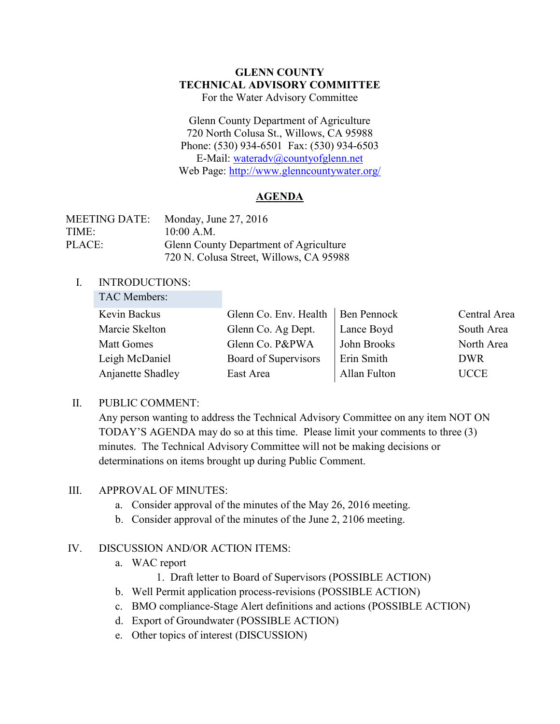### **GLENN COUNTY TECHNICAL ADVISORY COMMITTEE** For the Water Advisory Committee

Glenn County Department of Agriculture 720 North Colusa St., Willows, CA 95988 Phone: (530) 934-6501 Fax: (530) 934-6503 E-Mail: [wateradv@countyofglenn.net](mailto:wateradv@countyofglenn.net) Web Page:<http://www.glenncountywater.org/>

# **AGENDA**

| <b>MEETING DATE:</b> | Monday, June $27, 2016$                       |
|----------------------|-----------------------------------------------|
| TIME:                | 10:00 A.M.                                    |
| PLACE:               | <b>Glenn County Department of Agriculture</b> |
|                      | 720 N. Colusa Street, Willows, CA 95988       |

### I. INTRODUCTIONS:

| TAC Members:      |                                     |              |              |
|-------------------|-------------------------------------|--------------|--------------|
| Kevin Backus      | Glenn Co. Env. Health   Ben Pennock |              | Central Area |
| Marcie Skelton    | Glenn Co. Ag Dept.                  | Lance Boyd   | South Area   |
| <b>Matt Gomes</b> | Glenn Co. P&PWA                     | John Brooks  | North Area   |
| Leigh McDaniel    | Board of Supervisors                | Erin Smith   | <b>DWR</b>   |
| Anjanette Shadley | East Area                           | Allan Fulton | <b>UCCE</b>  |

### II. PUBLIC COMMENT:

Any person wanting to address the Technical Advisory Committee on any item NOT ON TODAY'S AGENDA may do so at this time. Please limit your comments to three (3) minutes. The Technical Advisory Committee will not be making decisions or determinations on items brought up during Public Comment.

#### III. APPROVAL OF MINUTES:

- a. Consider approval of the minutes of the May 26, 2016 meeting.
- b. Consider approval of the minutes of the June 2, 2106 meeting.

### IV. DISCUSSION AND/OR ACTION ITEMS:

- a. WAC report
	- 1. Draft letter to Board of Supervisors (POSSIBLE ACTION)
- b. Well Permit application process-revisions (POSSIBLE ACTION)
- c. BMO compliance-Stage Alert definitions and actions (POSSIBLE ACTION)
- d. Export of Groundwater (POSSIBLE ACTION)
- e. Other topics of interest (DISCUSSION)